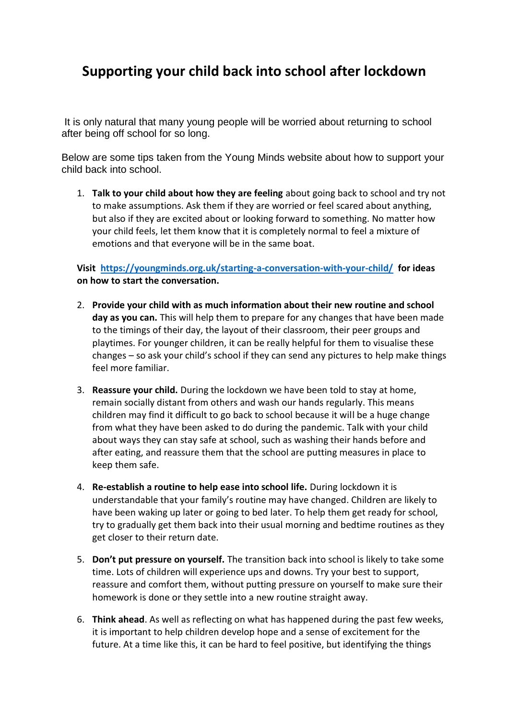## **Supporting your child back into school after lockdown**

It is only natural that many young people will be worried about returning to school after being off school for so long.

Below are some tips taken from the Young Minds website about how to support your child back into school.

1. **Talk to your child about how they are feeling** about going back to school and try not to make assumptions. Ask them if they are worried or feel scared about anything, but also if they are excited about or looking forward to something. No matter how your child feels, let them know that it is completely normal to feel a mixture of emotions and that everyone will be in the same boat.

**Visit <https://youngminds.org.uk/starting-a-conversation-with-your-child/>for ideas on how to start the conversation.**

- 2. **Provide your child with as much information about their new routine and school day as you can.** This will help them to prepare for any changes that have been made to the timings of their day, the layout of their classroom, their peer groups and playtimes. For younger children, it can be really helpful for them to visualise these changes – so ask your child's school if they can send any pictures to help make things feel more familiar.
- 3. **Reassure your child.** During the lockdown we have been told to stay at home, remain socially distant from others and wash our hands regularly. This means children may find it difficult to go back to school because it will be a huge change from what they have been asked to do during the pandemic. Talk with your child about ways they can stay safe at school, such as washing their hands before and after eating, and reassure them that the school are putting measures in place to keep them safe.
- 4. **Re-establish a routine to help ease into school life.** During lockdown it is understandable that your family's routine may have changed. Children are likely to have been waking up later or going to bed later. To help them get ready for school, try to gradually get them back into their usual morning and bedtime routines as they get closer to their return date.
- 5. **Don't put pressure on yourself.** The transition back into school is likely to take some time. Lots of children will experience ups and downs. Try your best to support, reassure and comfort them, without putting pressure on yourself to make sure their homework is done or they settle into a new routine straight away.
- 6. **Think ahead**. As well as reflecting on what has happened during the past few weeks, it is important to help children develop hope and a sense of excitement for the future. At a time like this, it can be hard to feel positive, but identifying the things